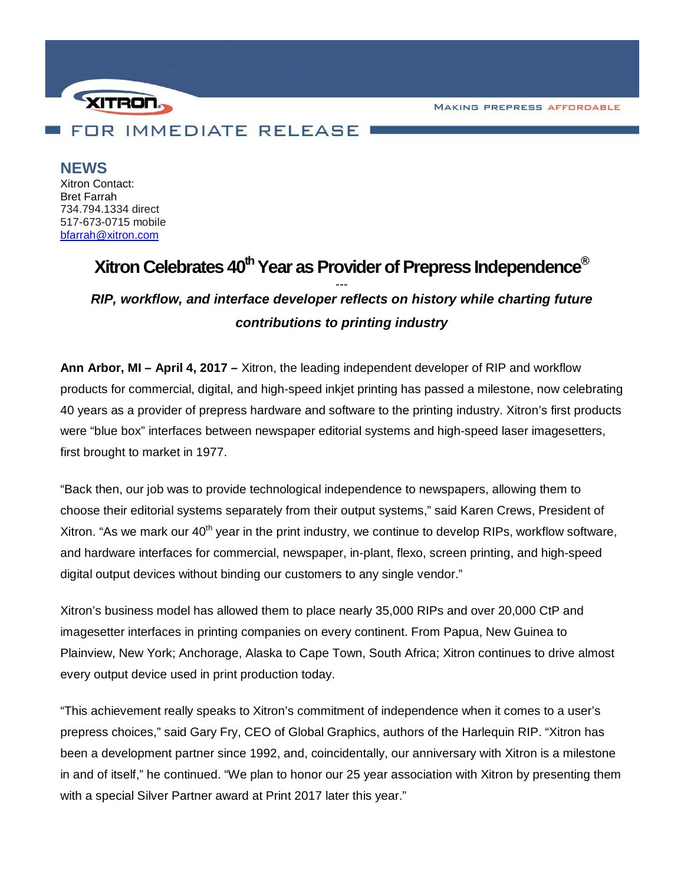**MAKING PREPRESS AFFORDABLE** 



**NEWS**

Xitron Contact: Bret Farrah 734.794.1334 direct 517-673-0715 mobile [bfarrah@xitron.com](mailto:bfarrah@xitron.com)

## Xitron Celebrates 40<sup>th</sup> Year as Provider of Prepress Independence<sup>®</sup> *--- RIP, workflow, and interface developer reflects on history while charting future contributions to printing industry*

**Ann Arbor, MI – April 4, 2017 –** Xitron, the leading independent developer of RIP and workflow products for commercial, digital, and high-speed inkjet printing has passed a milestone, now celebrating 40 years as a provider of prepress hardware and software to the printing industry. Xitron's first products were "blue box" interfaces between newspaper editorial systems and high-speed laser imagesetters, first brought to market in 1977.

"Back then, our job was to provide technological independence to newspapers, allowing them to choose their editorial systems separately from their output systems," said Karen Crews, President of Xitron. "As we mark our  $40<sup>th</sup>$  year in the print industry, we continue to develop RIPs, workflow software, and hardware interfaces for commercial, newspaper, in-plant, flexo, screen printing, and high-speed digital output devices without binding our customers to any single vendor."

Xitron's business model has allowed them to place nearly 35,000 RIPs and over 20,000 CtP and imagesetter interfaces in printing companies on every continent. From Papua, New Guinea to Plainview, New York; Anchorage, Alaska to Cape Town, South Africa; Xitron continues to drive almost every output device used in print production today.

"This achievement really speaks to Xitron's commitment of independence when it comes to a user's prepress choices," said Gary Fry, CEO of Global Graphics, authors of the Harlequin RIP. "Xitron has been a development partner since 1992, and, coincidentally, our anniversary with Xitron is a milestone in and of itself," he continued. "We plan to honor our 25 year association with Xitron by presenting them with a special Silver Partner award at Print 2017 later this year."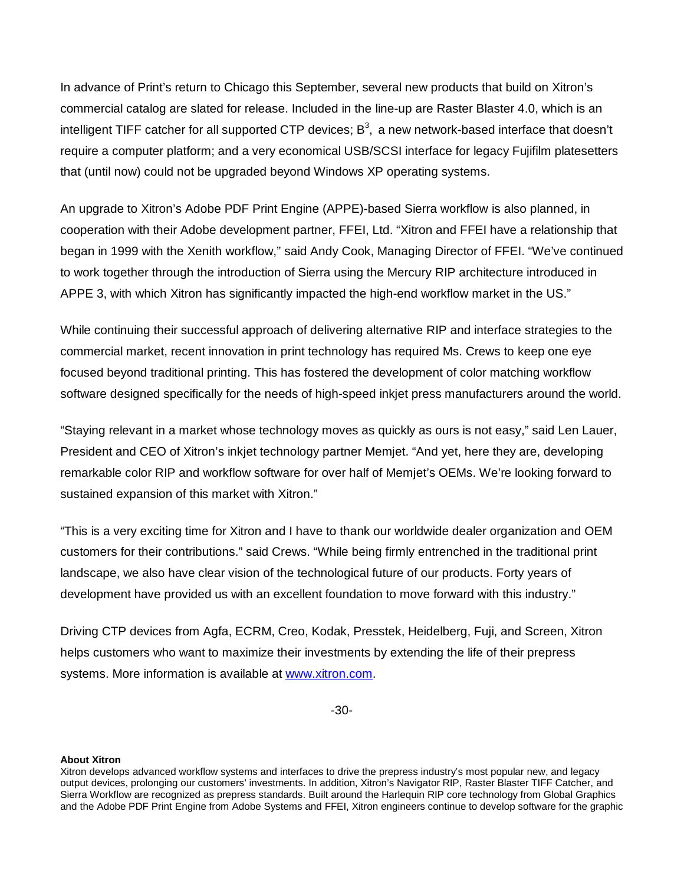In advance of Print's return to Chicago this September, several new products that build on Xitron's commercial catalog are slated for release. Included in the line-up are Raster Blaster 4.0, which is an intelligent TIFF catcher for all supported CTP devices;  $B^3$ , a new network-based interface that doesn't require a computer platform; and a very economical USB/SCSI interface for legacy Fujifilm platesetters that (until now) could not be upgraded beyond Windows XP operating systems.

An upgrade to Xitron's Adobe PDF Print Engine (APPE)-based Sierra workflow is also planned, in cooperation with their Adobe development partner, FFEI, Ltd. "Xitron and FFEI have a relationship that began in 1999 with the Xenith workflow," said Andy Cook, Managing Director of FFEI. "We've continued to work together through the introduction of Sierra using the Mercury RIP architecture introduced in APPE 3, with which Xitron has significantly impacted the high-end workflow market in the US."

While continuing their successful approach of delivering alternative RIP and interface strategies to the commercial market, recent innovation in print technology has required Ms. Crews to keep one eye focused beyond traditional printing. This has fostered the development of color matching workflow software designed specifically for the needs of high-speed inkjet press manufacturers around the world.

"Staying relevant in a market whose technology moves as quickly as ours is not easy," said Len Lauer, President and CEO of Xitron's inkjet technology partner Memjet. "And yet, here they are, developing remarkable color RIP and workflow software for over half of Memjet's OEMs. We're looking forward to sustained expansion of this market with Xitron."

"This is a very exciting time for Xitron and I have to thank our worldwide dealer organization and OEM customers for their contributions." said Crews. "While being firmly entrenched in the traditional print landscape, we also have clear vision of the technological future of our products. Forty years of development have provided us with an excellent foundation to move forward with this industry."

Driving CTP devices from Agfa, ECRM, Creo, Kodak, Presstek, Heidelberg, Fuji, and Screen, Xitron helps customers who want to maximize their investments by extending the life of their prepress systems. More information is available at [www.xitron.com.](http://www.xitron.com/)

-30-

## **About Xitron**

Xitron develops advanced workflow systems and interfaces to drive the prepress industry's most popular new, and legacy output devices, prolonging our customers' investments. In addition, Xitron's Navigator RIP, Raster Blaster TIFF Catcher, and Sierra Workflow are recognized as prepress standards. Built around the Harlequin RIP core technology from Global Graphics and the Adobe PDF Print Engine from Adobe Systems and FFEI, Xitron engineers continue to develop software for the graphic